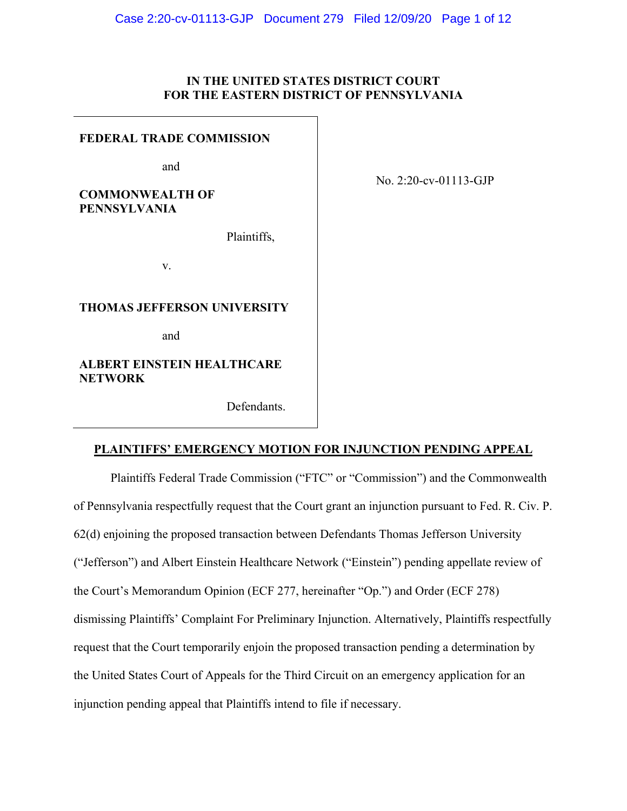# **IN THE UNITED STATES DISTRICT COURT FOR THE EASTERN DISTRICT OF PENNSYLVANIA**

#### **FEDERAL TRADE COMMISSION**

and

# **COMMONWEALTH OF PENNSYLVANIA**

Plaintiffs,

v.

### **THOMAS JEFFERSON UNIVERSITY**

and

**ALBERT EINSTEIN HEALTHCARE NETWORK**

Defendants.

# No. 2:20-cv-01113-GJP

# **PLAINTIFFS' EMERGENCY MOTION FOR INJUNCTION PENDING APPEAL**

Plaintiffs Federal Trade Commission ("FTC" or "Commission") and the Commonwealth of Pennsylvania respectfully request that the Court grant an injunction pursuant to Fed. R. Civ. P. 62(d) enjoining the proposed transaction between Defendants Thomas Jefferson University ("Jefferson") and Albert Einstein Healthcare Network ("Einstein") pending appellate review of the Court's Memorandum Opinion (ECF 277, hereinafter "Op.") and Order (ECF 278) dismissing Plaintiffs' Complaint For Preliminary Injunction. Alternatively, Plaintiffs respectfully request that the Court temporarily enjoin the proposed transaction pending a determination by the United States Court of Appeals for the Third Circuit on an emergency application for an injunction pending appeal that Plaintiffs intend to file if necessary.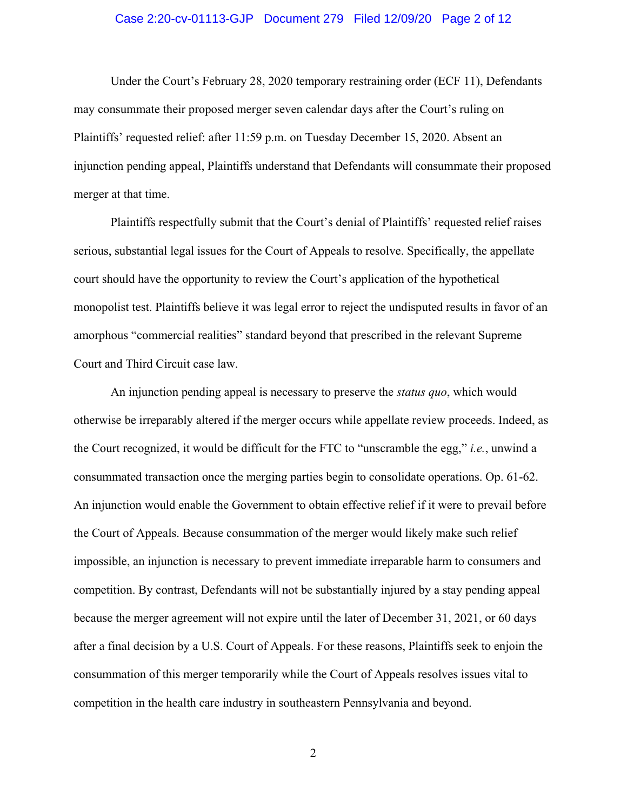#### Case 2:20-cv-01113-GJP Document 279 Filed 12/09/20 Page 2 of 12

Under the Court's February 28, 2020 temporary restraining order (ECF 11), Defendants may consummate their proposed merger seven calendar days after the Court's ruling on Plaintiffs' requested relief: after 11:59 p.m. on Tuesday December 15, 2020. Absent an injunction pending appeal, Plaintiffs understand that Defendants will consummate their proposed merger at that time.

Plaintiffs respectfully submit that the Court's denial of Plaintiffs' requested relief raises serious, substantial legal issues for the Court of Appeals to resolve. Specifically, the appellate court should have the opportunity to review the Court's application of the hypothetical monopolist test. Plaintiffs believe it was legal error to reject the undisputed results in favor of an amorphous "commercial realities" standard beyond that prescribed in the relevant Supreme Court and Third Circuit case law.

An injunction pending appeal is necessary to preserve the *status quo*, which would otherwise be irreparably altered if the merger occurs while appellate review proceeds. Indeed, as the Court recognized, it would be difficult for the FTC to "unscramble the egg," *i.e.*, unwind a consummated transaction once the merging parties begin to consolidate operations. Op. 61-62. An injunction would enable the Government to obtain effective relief if it were to prevail before the Court of Appeals. Because consummation of the merger would likely make such relief impossible, an injunction is necessary to prevent immediate irreparable harm to consumers and competition. By contrast, Defendants will not be substantially injured by a stay pending appeal because the merger agreement will not expire until the later of December 31, 2021, or 60 days after a final decision by a U.S. Court of Appeals. For these reasons, Plaintiffs seek to enjoin the consummation of this merger temporarily while the Court of Appeals resolves issues vital to competition in the health care industry in southeastern Pennsylvania and beyond.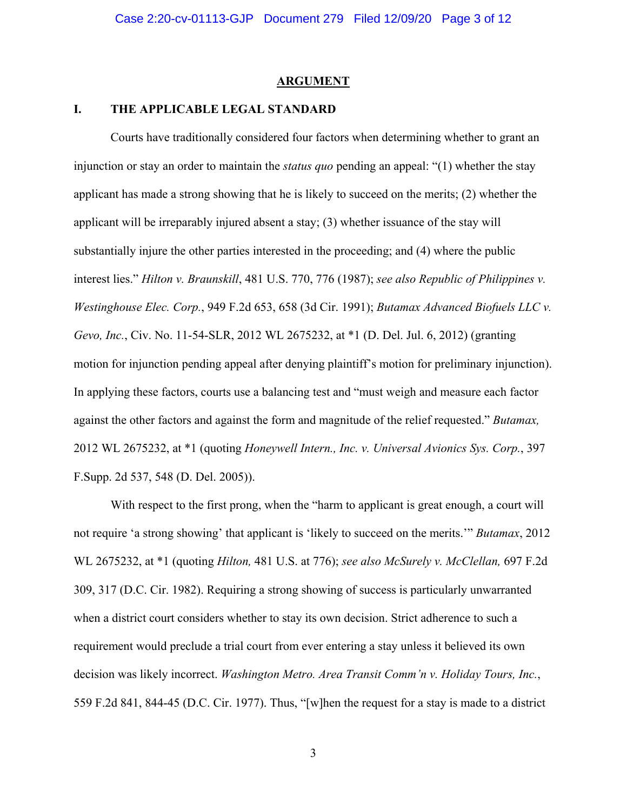#### **ARGUMENT**

### **I. THE APPLICABLE LEGAL STANDARD**

Courts have traditionally considered four factors when determining whether to grant an injunction or stay an order to maintain the *status quo* pending an appeal: "(1) whether the stay applicant has made a strong showing that he is likely to succeed on the merits; (2) whether the applicant will be irreparably injured absent a stay; (3) whether issuance of the stay will substantially injure the other parties interested in the proceeding; and (4) where the public interest lies." *Hilton v. Braunskill*, 481 U.S. 770, 776 (1987); *see also Republic of Philippines v. Westinghouse Elec. Corp.*, 949 F.2d 653, 658 (3d Cir. 1991); *Butamax Advanced Biofuels LLC v. Gevo, Inc.*, Civ. No. 11-54-SLR, 2012 WL 2675232, at \*1 (D. Del. Jul. 6, 2012) (granting motion for injunction pending appeal after denying plaintiff's motion for preliminary injunction). In applying these factors, courts use a balancing test and "must weigh and measure each factor against the other factors and against the form and magnitude of the relief requested." *Butamax,*  2012 WL 2675232, at \*1 (quoting *Honeywell Intern., Inc. v. Universal Avionics Sys. Corp.*, 397 F.Supp. 2d 537, 548 (D. Del. 2005)).

With respect to the first prong, when the "harm to applicant is great enough, a court will not require 'a strong showing' that applicant is 'likely to succeed on the merits.'" *Butamax*, 2012 WL 2675232, at \*1 (quoting *Hilton,* 481 U.S. at 776); *see also McSurely v. McClellan,* 697 F.2d 309, 317 (D.C. Cir. 1982). Requiring a strong showing of success is particularly unwarranted when a district court considers whether to stay its own decision. Strict adherence to such a requirement would preclude a trial court from ever entering a stay unless it believed its own decision was likely incorrect. *Washington Metro. Area Transit Comm'n v. Holiday Tours, Inc.*, 559 F.2d 841, 844-45 (D.C. Cir. 1977). Thus, "[w]hen the request for a stay is made to a district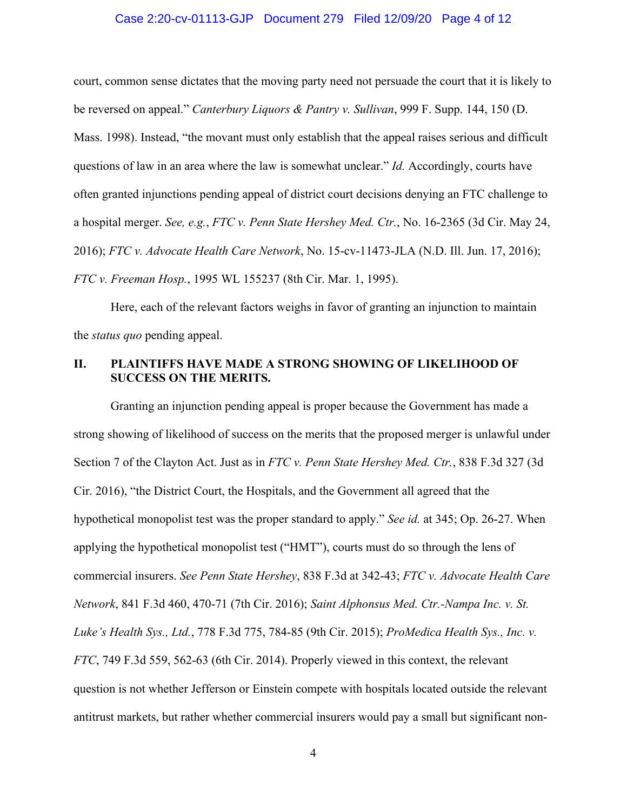### Case 2:20-cv-01113-GJP Document 279 Filed 12/09/20 Page 4 of 12

court, common sense dictates that the moving party need not persuade the court that it is likely to be reversed on appeal." *Canterbury Liquors & Pantry v. Sullivan*, 999 F. Supp. 144, 150 (D. Mass. 1998). Instead, "the movant must only establish that the appeal raises serious and difficult questions of law in an area where the law is somewhat unclear." *Id.* Accordingly, courts have often granted injunctions pending appeal of district court decisions denying an FTC challenge to a hospital merger. *See, e.g.*, *FTC v. Penn State Hershey Med. Ctr.*, No. 16-2365 (3d Cir. May 24, 2016); *FTC v. Advocate Health Care Network*, No. 15-cv-11473-JLA (N.D. Ill. Jun. 17, 2016); *FTC v. Freeman Hosp.*, 1995 WL 155237 (8th Cir. Mar. 1, 1995).

Here, each of the relevant factors weighs in favor of granting an injunction to maintain the *status quo* pending appeal.

# **II. PLAINTIFFS HAVE MADE A STRONG SHOWING OF LIKELIHOOD OF SUCCESS ON THE MERITS.**

Granting an injunction pending appeal is proper because the Government has made a strong showing of likelihood of success on the merits that the proposed merger is unlawful under Section 7 of the Clayton Act. Just as in *FTC v. Penn State Hershey Med. Ctr.*, 838 F.3d 327 (3d Cir. 2016), "the District Court, the Hospitals, and the Government all agreed that the hypothetical monopolist test was the proper standard to apply." *See id.* at 345; Op. 26-27. When applying the hypothetical monopolist test ("HMT"), courts must do so through the lens of commercial insurers. *See Penn State Hershey*, 838 F.3d at 342-43; *FTC v. Advocate Health Care Network*, 841 F.3d 460, 470-71 (7th Cir. 2016); *Saint Alphonsus Med. Ctr.-Nampa Inc. v. St. Luke's Health Sys., Ltd.*, 778 F.3d 775, 784-85 (9th Cir. 2015); *ProMedica Health Sys., Inc. v. FTC*, 749 F.3d 559, 562-63 (6th Cir. 2014). Properly viewed in this context, the relevant question is not whether Jefferson or Einstein compete with hospitals located outside the relevant antitrust markets, but rather whether commercial insurers would pay a small but significant non-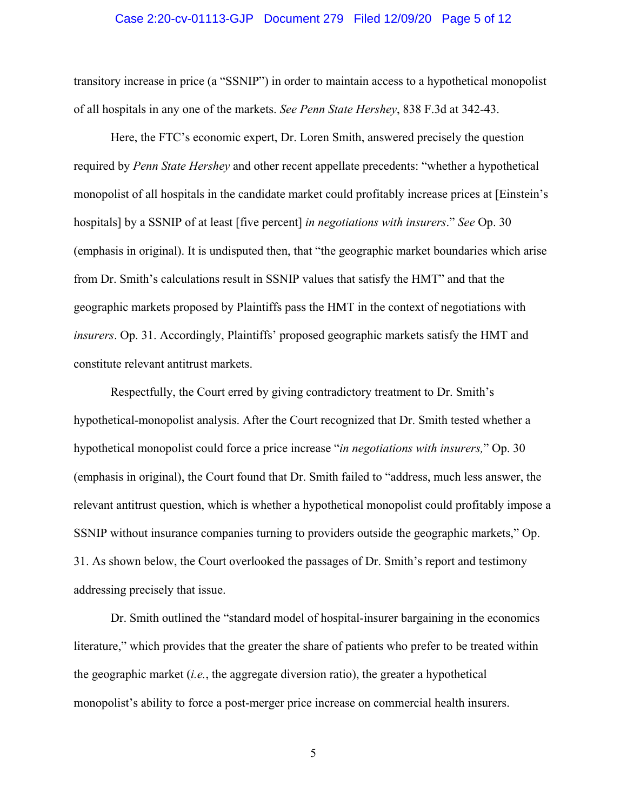#### Case 2:20-cv-01113-GJP Document 279 Filed 12/09/20 Page 5 of 12

transitory increase in price (a "SSNIP") in order to maintain access to a hypothetical monopolist of all hospitals in any one of the markets. *See Penn State Hershey*, 838 F.3d at 342-43.

Here, the FTC's economic expert, Dr. Loren Smith, answered precisely the question required by *Penn State Hershey* and other recent appellate precedents: "whether a hypothetical monopolist of all hospitals in the candidate market could profitably increase prices at [Einstein's hospitals] by a SSNIP of at least [five percent] *in negotiations with insurers*." *See* Op. 30 (emphasis in original). It is undisputed then, that "the geographic market boundaries which arise from Dr. Smith's calculations result in SSNIP values that satisfy the HMT" and that the geographic markets proposed by Plaintiffs pass the HMT in the context of negotiations with *insurers*. Op. 31. Accordingly, Plaintiffs' proposed geographic markets satisfy the HMT and constitute relevant antitrust markets.

Respectfully, the Court erred by giving contradictory treatment to Dr. Smith's hypothetical-monopolist analysis. After the Court recognized that Dr. Smith tested whether a hypothetical monopolist could force a price increase "*in negotiations with insurers,*" Op. 30 (emphasis in original), the Court found that Dr. Smith failed to "address, much less answer, the relevant antitrust question, which is whether a hypothetical monopolist could profitably impose a SSNIP without insurance companies turning to providers outside the geographic markets," Op. 31. As shown below, the Court overlooked the passages of Dr. Smith's report and testimony addressing precisely that issue.

Dr. Smith outlined the "standard model of hospital-insurer bargaining in the economics literature," which provides that the greater the share of patients who prefer to be treated within the geographic market (*i.e.*, the aggregate diversion ratio), the greater a hypothetical monopolist's ability to force a post-merger price increase on commercial health insurers.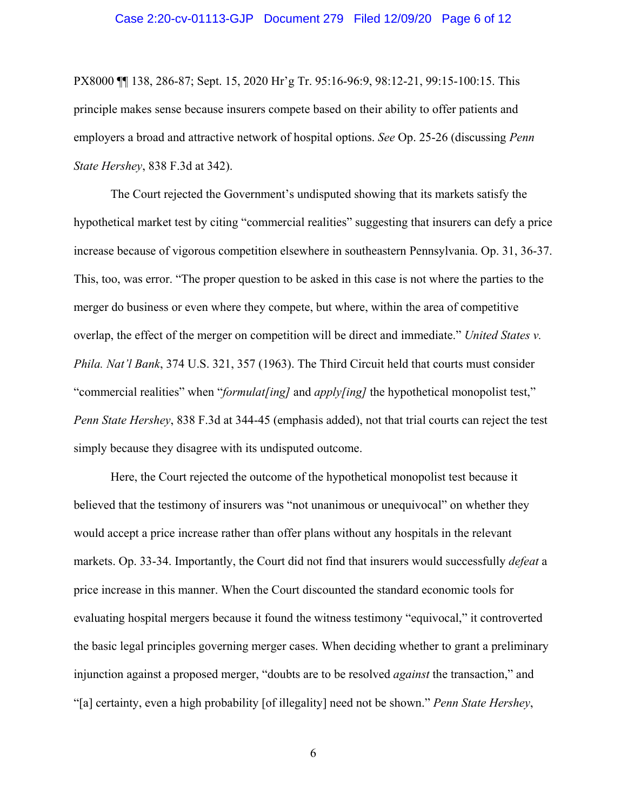#### Case 2:20-cv-01113-GJP Document 279 Filed 12/09/20 Page 6 of 12

PX8000 ¶¶ 138, 286-87; Sept. 15, 2020 Hr'g Tr. 95:16-96:9, 98:12-21, 99:15-100:15. This principle makes sense because insurers compete based on their ability to offer patients and employers a broad and attractive network of hospital options. *See* Op. 25-26 (discussing *Penn State Hershey*, 838 F.3d at 342).

The Court rejected the Government's undisputed showing that its markets satisfy the hypothetical market test by citing "commercial realities" suggesting that insurers can defy a price increase because of vigorous competition elsewhere in southeastern Pennsylvania. Op. 31, 36-37. This, too, was error. "The proper question to be asked in this case is not where the parties to the merger do business or even where they compete, but where, within the area of competitive overlap, the effect of the merger on competition will be direct and immediate." *United States v. Phila. Nat'l Bank*, 374 U.S. 321, 357 (1963). The Third Circuit held that courts must consider "commercial realities" when "*formulat[ing]* and *apply[ing]* the hypothetical monopolist test," *Penn State Hershey*, 838 F.3d at 344-45 (emphasis added), not that trial courts can reject the test simply because they disagree with its undisputed outcome.

Here, the Court rejected the outcome of the hypothetical monopolist test because it believed that the testimony of insurers was "not unanimous or unequivocal" on whether they would accept a price increase rather than offer plans without any hospitals in the relevant markets. Op. 33-34. Importantly, the Court did not find that insurers would successfully *defeat* a price increase in this manner. When the Court discounted the standard economic tools for evaluating hospital mergers because it found the witness testimony "equivocal," it controverted the basic legal principles governing merger cases. When deciding whether to grant a preliminary injunction against a proposed merger, "doubts are to be resolved *against* the transaction," and "[a] certainty, even a high probability [of illegality] need not be shown." *Penn State Hershey*,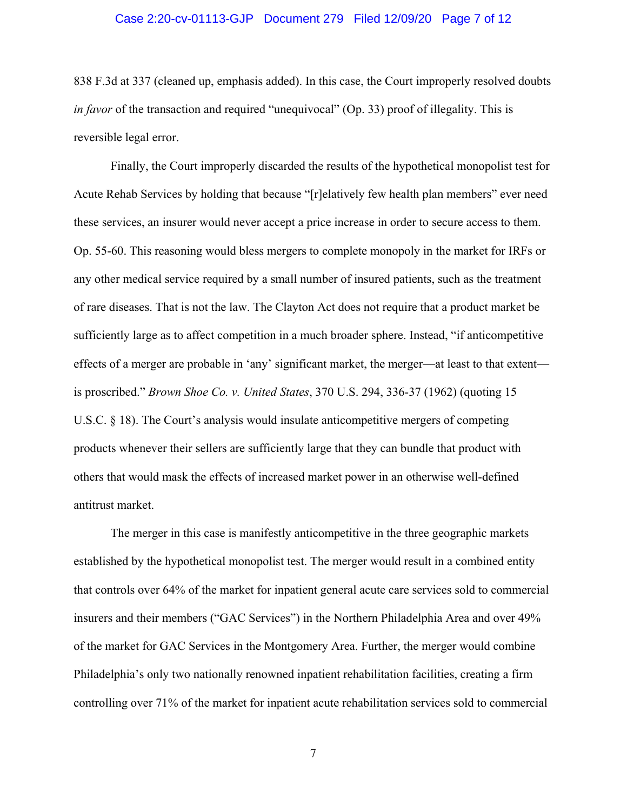#### Case 2:20-cv-01113-GJP Document 279 Filed 12/09/20 Page 7 of 12

838 F.3d at 337 (cleaned up, emphasis added). In this case, the Court improperly resolved doubts *in favor* of the transaction and required "unequivocal" (Op. 33) proof of illegality. This is reversible legal error.

Finally, the Court improperly discarded the results of the hypothetical monopolist test for Acute Rehab Services by holding that because "[r]elatively few health plan members" ever need these services, an insurer would never accept a price increase in order to secure access to them. Op. 55-60. This reasoning would bless mergers to complete monopoly in the market for IRFs or any other medical service required by a small number of insured patients, such as the treatment of rare diseases. That is not the law. The Clayton Act does not require that a product market be sufficiently large as to affect competition in a much broader sphere. Instead, "if anticompetitive effects of a merger are probable in 'any' significant market, the merger—at least to that extent is proscribed." *Brown Shoe Co. v. United States*, 370 U.S. 294, 336-37 (1962) (quoting 15 U.S.C. § 18). The Court's analysis would insulate anticompetitive mergers of competing products whenever their sellers are sufficiently large that they can bundle that product with others that would mask the effects of increased market power in an otherwise well-defined antitrust market.

The merger in this case is manifestly anticompetitive in the three geographic markets established by the hypothetical monopolist test. The merger would result in a combined entity that controls over 64% of the market for inpatient general acute care services sold to commercial insurers and their members ("GAC Services") in the Northern Philadelphia Area and over 49% of the market for GAC Services in the Montgomery Area. Further, the merger would combine Philadelphia's only two nationally renowned inpatient rehabilitation facilities, creating a firm controlling over 71% of the market for inpatient acute rehabilitation services sold to commercial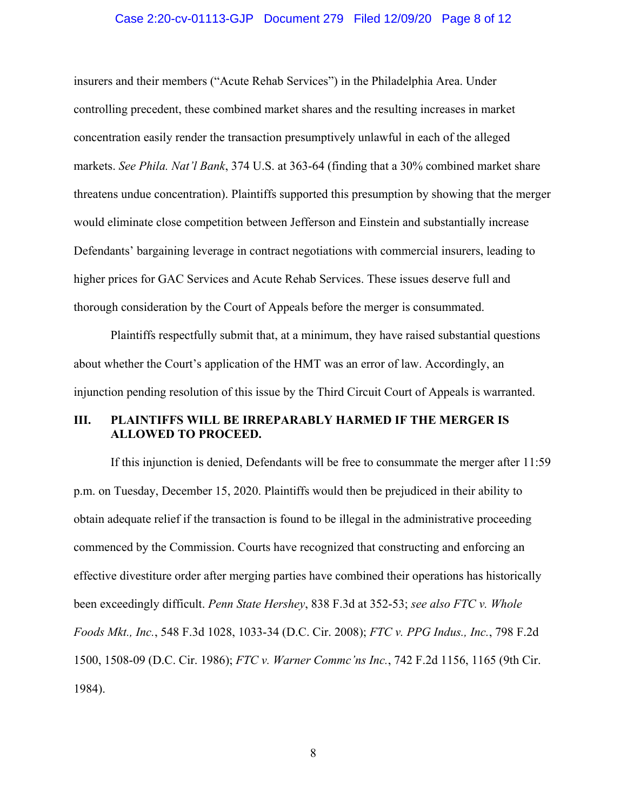#### Case 2:20-cv-01113-GJP Document 279 Filed 12/09/20 Page 8 of 12

insurers and their members ("Acute Rehab Services") in the Philadelphia Area. Under controlling precedent, these combined market shares and the resulting increases in market concentration easily render the transaction presumptively unlawful in each of the alleged markets. *See Phila. Nat'l Bank*, 374 U.S. at 363-64 (finding that a 30% combined market share threatens undue concentration). Plaintiffs supported this presumption by showing that the merger would eliminate close competition between Jefferson and Einstein and substantially increase Defendants' bargaining leverage in contract negotiations with commercial insurers, leading to higher prices for GAC Services and Acute Rehab Services. These issues deserve full and thorough consideration by the Court of Appeals before the merger is consummated.

Plaintiffs respectfully submit that, at a minimum, they have raised substantial questions about whether the Court's application of the HMT was an error of law. Accordingly, an injunction pending resolution of this issue by the Third Circuit Court of Appeals is warranted.

# **III. PLAINTIFFS WILL BE IRREPARABLY HARMED IF THE MERGER IS ALLOWED TO PROCEED.**

If this injunction is denied, Defendants will be free to consummate the merger after 11:59 p.m. on Tuesday, December 15, 2020. Plaintiffs would then be prejudiced in their ability to obtain adequate relief if the transaction is found to be illegal in the administrative proceeding commenced by the Commission. Courts have recognized that constructing and enforcing an effective divestiture order after merging parties have combined their operations has historically been exceedingly difficult. *Penn State Hershey*, 838 F.3d at 352-53; *see also FTC v. Whole Foods Mkt., Inc.*, 548 F.3d 1028, 1033-34 (D.C. Cir. 2008); *FTC v. PPG Indus., Inc.*, 798 F.2d 1500, 1508-09 (D.C. Cir. 1986); *FTC v. Warner Commc'ns Inc.*, 742 F.2d 1156, 1165 (9th Cir. 1984).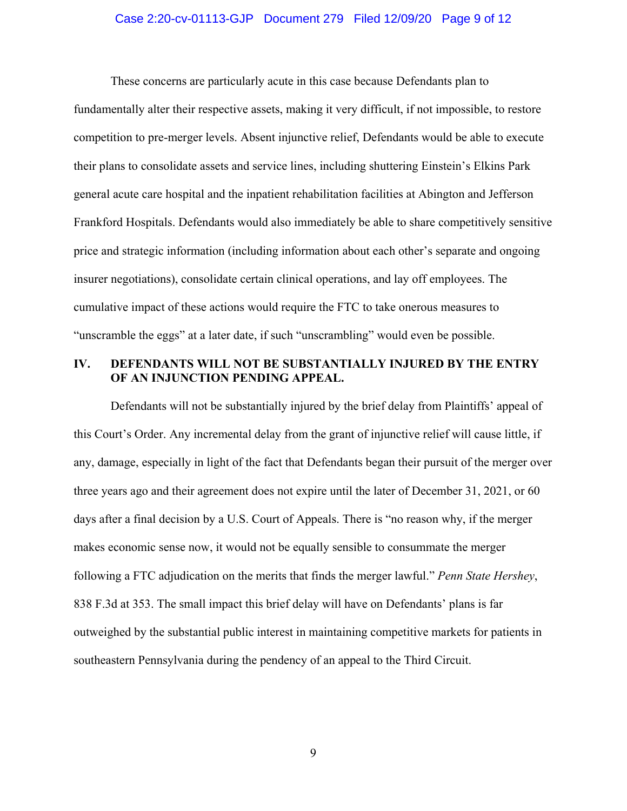#### Case 2:20-cv-01113-GJP Document 279 Filed 12/09/20 Page 9 of 12

These concerns are particularly acute in this case because Defendants plan to fundamentally alter their respective assets, making it very difficult, if not impossible, to restore competition to pre-merger levels. Absent injunctive relief, Defendants would be able to execute their plans to consolidate assets and service lines, including shuttering Einstein's Elkins Park general acute care hospital and the inpatient rehabilitation facilities at Abington and Jefferson Frankford Hospitals. Defendants would also immediately be able to share competitively sensitive price and strategic information (including information about each other's separate and ongoing insurer negotiations), consolidate certain clinical operations, and lay off employees. The cumulative impact of these actions would require the FTC to take onerous measures to "unscramble the eggs" at a later date, if such "unscrambling" would even be possible.

# **IV. DEFENDANTS WILL NOT BE SUBSTANTIALLY INJURED BY THE ENTRY OF AN INJUNCTION PENDING APPEAL.**

Defendants will not be substantially injured by the brief delay from Plaintiffs' appeal of this Court's Order. Any incremental delay from the grant of injunctive relief will cause little, if any, damage, especially in light of the fact that Defendants began their pursuit of the merger over three years ago and their agreement does not expire until the later of December 31, 2021, or 60 days after a final decision by a U.S. Court of Appeals. There is "no reason why, if the merger makes economic sense now, it would not be equally sensible to consummate the merger following a FTC adjudication on the merits that finds the merger lawful." *Penn State Hershey*, 838 F.3d at 353. The small impact this brief delay will have on Defendants' plans is far outweighed by the substantial public interest in maintaining competitive markets for patients in southeastern Pennsylvania during the pendency of an appeal to the Third Circuit.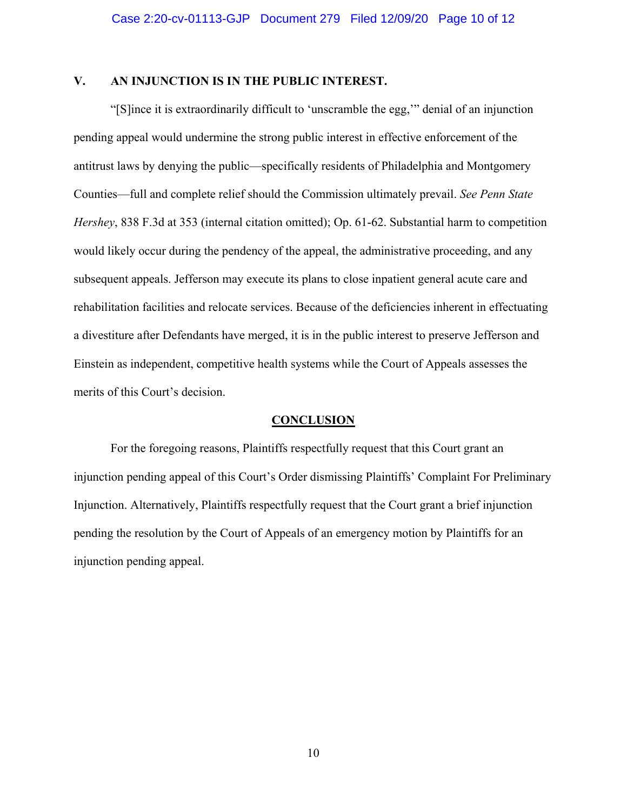# **V. AN INJUNCTION IS IN THE PUBLIC INTEREST.**

"[S]ince it is extraordinarily difficult to 'unscramble the egg,'" denial of an injunction pending appeal would undermine the strong public interest in effective enforcement of the antitrust laws by denying the public—specifically residents of Philadelphia and Montgomery Counties—full and complete relief should the Commission ultimately prevail. *See Penn State Hershey*, 838 F.3d at 353 (internal citation omitted); Op. 61-62. Substantial harm to competition would likely occur during the pendency of the appeal, the administrative proceeding, and any subsequent appeals. Jefferson may execute its plans to close inpatient general acute care and rehabilitation facilities and relocate services. Because of the deficiencies inherent in effectuating a divestiture after Defendants have merged, it is in the public interest to preserve Jefferson and Einstein as independent, competitive health systems while the Court of Appeals assesses the merits of this Court's decision.

#### **CONCLUSION**

For the foregoing reasons, Plaintiffs respectfully request that this Court grant an injunction pending appeal of this Court's Order dismissing Plaintiffs' Complaint For Preliminary Injunction. Alternatively, Plaintiffs respectfully request that the Court grant a brief injunction pending the resolution by the Court of Appeals of an emergency motion by Plaintiffs for an injunction pending appeal.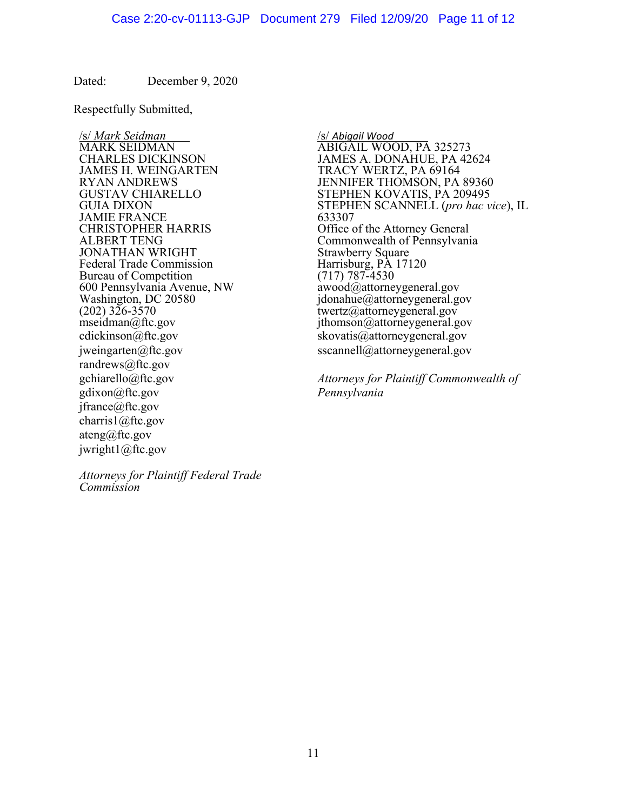Dated: December 9, 2020

Respectfully Submitted,

JAMES H. WEINGARTEN TRACY WERTZ, PA 69164 JAMIE FRANCE<br>CHRISTOPHER HARRIS JONATHAN WRIGHT<br>
Federal Trade Commission<br>
Federal Trade Commission<br>
Strawberry Square<br>
Harrisburg, PA 17120 Federal Trade Commission<br>Bureau of Competition (717) 787-4530 Bureau of Competition (717) 787-4530<br>600 Pennsylvania Avenue, NW awood@attorneygeneral.gov 600 Pennsylvania Avenue, NW<br>Washington, DC 20580  $(202)$   $326-3570$  twertz@attorneygeneral.gov<br>mseidman@ftc.gov ithomson@attorneygeneral.gov cdickinson@ftc.gov skovatis@attorneygeneral.gov jweingarten@ftc.gov sscannell@attorneygeneral.gov randrews@ftc.gov gdixon@ftc.gov *Pennsylvania*  jfrance@ftc.gov charris1@ftc.gov ateng@ftc.gov jwright1@ftc.gov

/s/ *Mark Seidman* /s/ *Abigail Wood* MARK SEIDMAN ABIGAIL WOOD, PA 325273 CHARLES DICKINSON JAMES A. DONAHUE, PA 42624<br>JAMES H. WEINGARTEN TRACY WERTZ, PA 69164 RYAN ANDREWS JENNIFER THOMSON, PA 89360 STEPHEN KOVATIS, PA 209495 GUIA DIXON STEPHEN SCANNELL (*pro hac vice*), IL JAMIE FRANCE Office of the Attorney General ALBERT TENG Commonwealth of Pennsylvania  $j$ donahue@attorneygeneral.gov  $ithomson@attorneygeneral.gov$ 

gchiarello@ftc.gov *Attorneys for Plaintiff Commonwealth of* 

*Attorneys for Plaintiff Federal Trade Commission*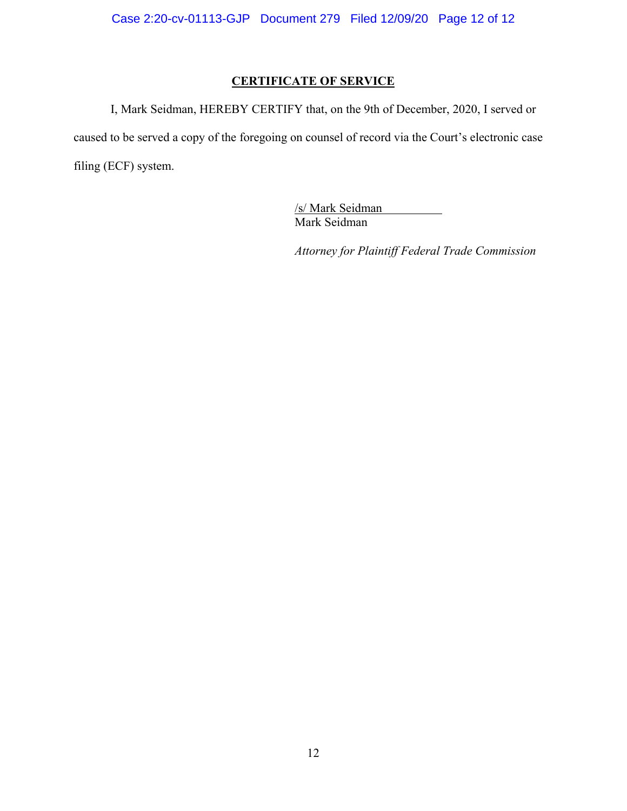# **CERTIFICATE OF SERVICE**

I, Mark Seidman, HEREBY CERTIFY that, on the 9th of December, 2020, I served or caused to be served a copy of the foregoing on counsel of record via the Court's electronic case filing (ECF) system.

> /s/ Mark Seidman Mark Seidman

 *Attorney for Plaintiff Federal Trade Commission*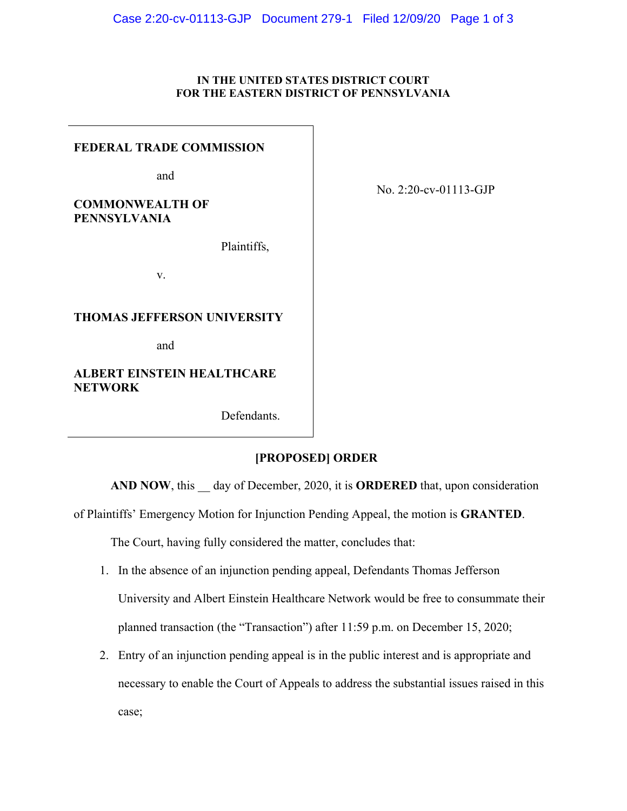#### **IN THE UNITED STATES DISTRICT COURT FOR THE EASTERN DISTRICT OF PENNSYLVANIA**

### **FEDERAL TRADE COMMISSION**

and

**COMMONWEALTH OF PENNSYLVANIA**

Plaintiffs,

v.

### **THOMAS JEFFERSON UNIVERSITY**

and

# **ALBERT EINSTEIN HEALTHCARE NETWORK**

Defendants.

# **[PROPOSED] ORDER**

AND NOW, this day of December, 2020, it is **ORDERED** that, upon consideration

of Plaintiffs' Emergency Motion for Injunction Pending Appeal, the motion is **GRANTED**.

The Court, having fully considered the matter, concludes that:

- 1. In the absence of an injunction pending appeal, Defendants Thomas Jefferson University and Albert Einstein Healthcare Network would be free to consummate their planned transaction (the "Transaction") after 11:59 p.m. on December 15, 2020;
- 2. Entry of an injunction pending appeal is in the public interest and is appropriate and necessary to enable the Court of Appeals to address the substantial issues raised in this case;

No. 2:20-cv-01113-GJP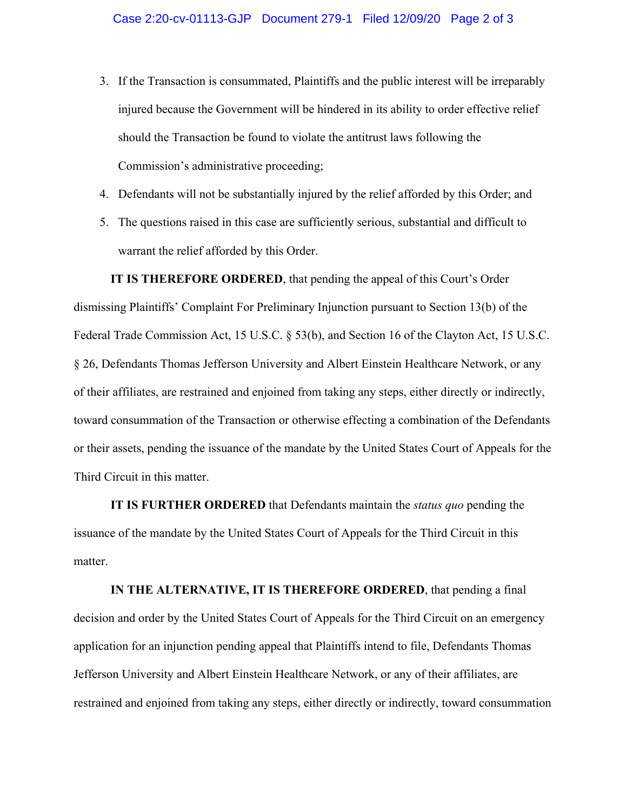- 3. If the Transaction is consummated, Plaintiffs and the public interest will be irreparably injured because the Government will be hindered in its ability to order effective relief should the Transaction be found to violate the antitrust laws following the Commission's administrative proceeding;
- 4. Defendants will not be substantially injured by the relief afforded by this Order; and
- 5. The questions raised in this case are sufficiently serious, substantial and difficult to warrant the relief afforded by this Order.

**IT IS THEREFORE ORDERED**, that pending the appeal of this Court's Order dismissing Plaintiffs' Complaint For Preliminary Injunction pursuant to Section 13(b) of the Federal Trade Commission Act, 15 U.S.C. § 53(b), and Section 16 of the Clayton Act, 15 U.S.C. § 26, Defendants Thomas Jefferson University and Albert Einstein Healthcare Network, or any of their affiliates, are restrained and enjoined from taking any steps, either directly or indirectly, toward consummation of the Transaction or otherwise effecting a combination of the Defendants or their assets, pending the issuance of the mandate by the United States Court of Appeals for the Third Circuit in this matter.

**IT IS FURTHER ORDERED** that Defendants maintain the *status quo* pending the issuance of the mandate by the United States Court of Appeals for the Third Circuit in this matter.

**IN THE ALTERNATIVE, IT IS THEREFORE ORDERED**, that pending a final decision and order by the United States Court of Appeals for the Third Circuit on an emergency application for an injunction pending appeal that Plaintiffs intend to file, Defendants Thomas Jefferson University and Albert Einstein Healthcare Network, or any of their affiliates, are restrained and enjoined from taking any steps, either directly or indirectly, toward consummation